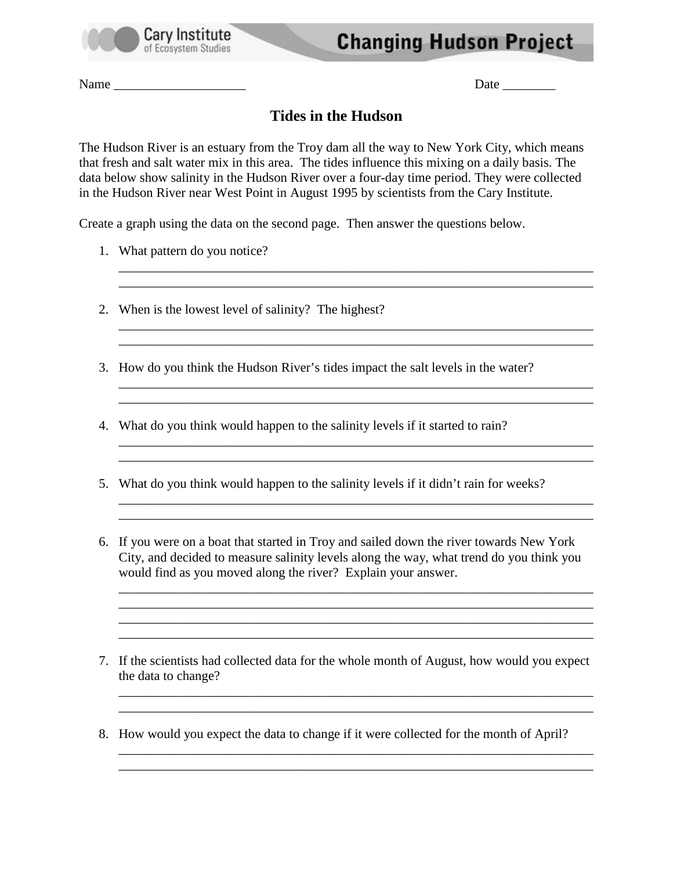

Name \_\_\_\_\_\_\_\_\_\_\_\_\_\_\_\_\_\_\_\_ Date \_\_\_\_\_\_\_\_

## **Tides in the Hudson**

The Hudson River is an estuary from the Troy dam all the way to New York City, which means that fresh and salt water mix in this area. The tides influence this mixing on a daily basis. The data below show salinity in the Hudson River over a four-day time period. They were collected in the Hudson River near West Point in August 1995 by scientists from the Cary Institute.

\_\_\_\_\_\_\_\_\_\_\_\_\_\_\_\_\_\_\_\_\_\_\_\_\_\_\_\_\_\_\_\_\_\_\_\_\_\_\_\_\_\_\_\_\_\_\_\_\_\_\_\_\_\_\_\_\_\_\_\_\_\_\_\_\_\_\_\_\_\_\_\_ \_\_\_\_\_\_\_\_\_\_\_\_\_\_\_\_\_\_\_\_\_\_\_\_\_\_\_\_\_\_\_\_\_\_\_\_\_\_\_\_\_\_\_\_\_\_\_\_\_\_\_\_\_\_\_\_\_\_\_\_\_\_\_\_\_\_\_\_\_\_\_\_

\_\_\_\_\_\_\_\_\_\_\_\_\_\_\_\_\_\_\_\_\_\_\_\_\_\_\_\_\_\_\_\_\_\_\_\_\_\_\_\_\_\_\_\_\_\_\_\_\_\_\_\_\_\_\_\_\_\_\_\_\_\_\_\_\_\_\_\_\_\_\_\_ \_\_\_\_\_\_\_\_\_\_\_\_\_\_\_\_\_\_\_\_\_\_\_\_\_\_\_\_\_\_\_\_\_\_\_\_\_\_\_\_\_\_\_\_\_\_\_\_\_\_\_\_\_\_\_\_\_\_\_\_\_\_\_\_\_\_\_\_\_\_\_\_

\_\_\_\_\_\_\_\_\_\_\_\_\_\_\_\_\_\_\_\_\_\_\_\_\_\_\_\_\_\_\_\_\_\_\_\_\_\_\_\_\_\_\_\_\_\_\_\_\_\_\_\_\_\_\_\_\_\_\_\_\_\_\_\_\_\_\_\_\_\_\_\_ \_\_\_\_\_\_\_\_\_\_\_\_\_\_\_\_\_\_\_\_\_\_\_\_\_\_\_\_\_\_\_\_\_\_\_\_\_\_\_\_\_\_\_\_\_\_\_\_\_\_\_\_\_\_\_\_\_\_\_\_\_\_\_\_\_\_\_\_\_\_\_\_

\_\_\_\_\_\_\_\_\_\_\_\_\_\_\_\_\_\_\_\_\_\_\_\_\_\_\_\_\_\_\_\_\_\_\_\_\_\_\_\_\_\_\_\_\_\_\_\_\_\_\_\_\_\_\_\_\_\_\_\_\_\_\_\_\_\_\_\_\_\_\_\_ \_\_\_\_\_\_\_\_\_\_\_\_\_\_\_\_\_\_\_\_\_\_\_\_\_\_\_\_\_\_\_\_\_\_\_\_\_\_\_\_\_\_\_\_\_\_\_\_\_\_\_\_\_\_\_\_\_\_\_\_\_\_\_\_\_\_\_\_\_\_\_\_

\_\_\_\_\_\_\_\_\_\_\_\_\_\_\_\_\_\_\_\_\_\_\_\_\_\_\_\_\_\_\_\_\_\_\_\_\_\_\_\_\_\_\_\_\_\_\_\_\_\_\_\_\_\_\_\_\_\_\_\_\_\_\_\_\_\_\_\_\_\_\_\_ \_\_\_\_\_\_\_\_\_\_\_\_\_\_\_\_\_\_\_\_\_\_\_\_\_\_\_\_\_\_\_\_\_\_\_\_\_\_\_\_\_\_\_\_\_\_\_\_\_\_\_\_\_\_\_\_\_\_\_\_\_\_\_\_\_\_\_\_\_\_\_\_

\_\_\_\_\_\_\_\_\_\_\_\_\_\_\_\_\_\_\_\_\_\_\_\_\_\_\_\_\_\_\_\_\_\_\_\_\_\_\_\_\_\_\_\_\_\_\_\_\_\_\_\_\_\_\_\_\_\_\_\_\_\_\_\_\_\_\_\_\_\_\_\_  $\overline{\phantom{a}}$  , and the contribution of the contribution of the contribution of the contribution of the contribution of  $\overline{\phantom{a}}$ 

Create a graph using the data on the second page. Then answer the questions below.

- 1. What pattern do you notice?
- 2. When is the lowest level of salinity? The highest?
- 3. How do you think the Hudson River's tides impact the salt levels in the water?
- 4. What do you think would happen to the salinity levels if it started to rain?
- 5. What do you think would happen to the salinity levels if it didn't rain for weeks?
- 6. If you were on a boat that started in Troy and sailed down the river towards New York City, and decided to measure salinity levels along the way, what trend do you think you would find as you moved along the river? Explain your answer.
- 7. If the scientists had collected data for the whole month of August, how would you expect the data to change?

\_\_\_\_\_\_\_\_\_\_\_\_\_\_\_\_\_\_\_\_\_\_\_\_\_\_\_\_\_\_\_\_\_\_\_\_\_\_\_\_\_\_\_\_\_\_\_\_\_\_\_\_\_\_\_\_\_\_\_\_\_\_\_\_\_\_\_\_\_\_\_\_ \_\_\_\_\_\_\_\_\_\_\_\_\_\_\_\_\_\_\_\_\_\_\_\_\_\_\_\_\_\_\_\_\_\_\_\_\_\_\_\_\_\_\_\_\_\_\_\_\_\_\_\_\_\_\_\_\_\_\_\_\_\_\_\_\_\_\_\_\_\_\_\_

\_\_\_\_\_\_\_\_\_\_\_\_\_\_\_\_\_\_\_\_\_\_\_\_\_\_\_\_\_\_\_\_\_\_\_\_\_\_\_\_\_\_\_\_\_\_\_\_\_\_\_\_\_\_\_\_\_\_\_\_\_\_\_\_\_\_\_\_\_\_\_\_ \_\_\_\_\_\_\_\_\_\_\_\_\_\_\_\_\_\_\_\_\_\_\_\_\_\_\_\_\_\_\_\_\_\_\_\_\_\_\_\_\_\_\_\_\_\_\_\_\_\_\_\_\_\_\_\_\_\_\_\_\_\_\_\_\_\_\_\_\_\_\_\_

8. How would you expect the data to change if it were collected for the month of April?